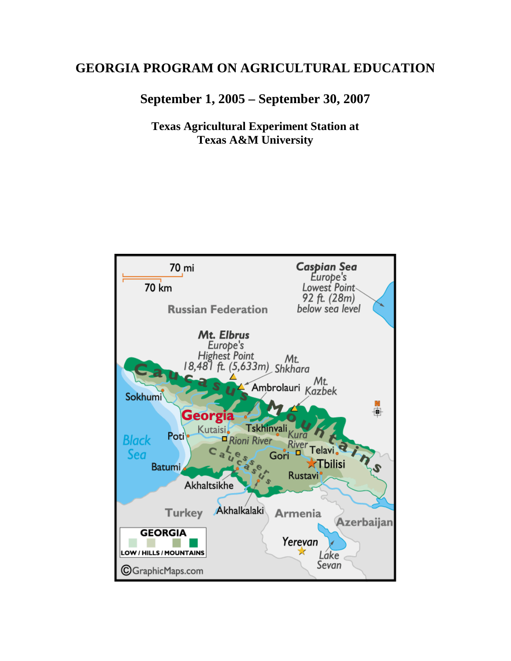# **GEORGIA PROGRAM ON AGRICULTURAL EDUCATION**

**September 1, 2005 – September 30, 2007** 

**Texas Agricultural Experiment Station at Texas A&M University** 

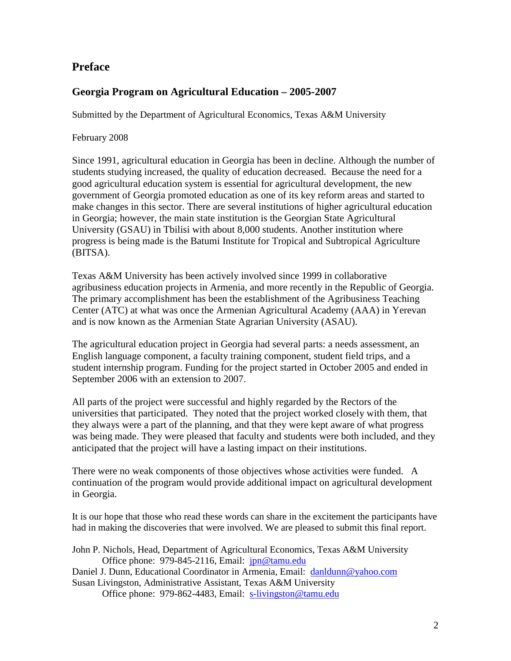# **Preface**

## **Georgia Program on Agricultural Education – 2005-2007**

Submitted by the Department of Agricultural Economics, Texas A&M University

February 2008

Since 1991, agricultural education in Georgia has been in decline. Although the number of students studying increased, the quality of education decreased. Because the need for a good agricultural education system is essential for agricultural development, the new government of Georgia promoted education as one of its key reform areas and started to make changes in this sector. There are several institutions of higher agricultural education in Georgia; however, the main state institution is the Georgian State Agricultural University (GSAU) in Tbilisi with about 8,000 students. Another institution where progress is being made is the Batumi Institute for Tropical and Subtropical Agriculture (BITSA).

Texas A&M University has been actively involved since 1999 in collaborative agribusiness education projects in Armenia, and more recently in the Republic of Georgia. The primary accomplishment has been the establishment of the Agribusiness Teaching Center (ATC) at what was once the Armenian Agricultural Academy (AAA) in Yerevan and is now known as the Armenian State Agrarian University (ASAU).

The agricultural education project in Georgia had several parts: a needs assessment, an English language component, a faculty training component, student field trips, and a student internship program. Funding for the project started in October 2005 and ended in September 2006 with an extension to 2007.

All parts of the project were successful and highly regarded by the Rectors of the universities that participated. They noted that the project worked closely with them, that they always were a part of the planning, and that they were kept aware of what progress was being made. They were pleased that faculty and students were both included, and they anticipated that the project will have a lasting impact on their institutions.

There were no weak components of those objectives whose activities were funded. A continuation of the program would provide additional impact on agricultural development in Georgia.

It is our hope that those who read these words can share in the excitement the participants have had in making the discoveries that were involved. We are pleased to submit this final report.

| John P. Nichols, Head, Department of Agricultural Economics, Texas A&M University |  |  |  |  |
|-----------------------------------------------------------------------------------|--|--|--|--|
| Office phone: $979-845-2116$ , Email: $ipn@tamu.edu$                              |  |  |  |  |
| Daniel J. Dunn, Educational Coordinator in Armenia, Email: danldunn@yahoo.com     |  |  |  |  |
| Susan Livingston, Administrative Assistant, Texas A&M University                  |  |  |  |  |

Office phone: 979-862-4483, Email: s-livingston@tamu.edu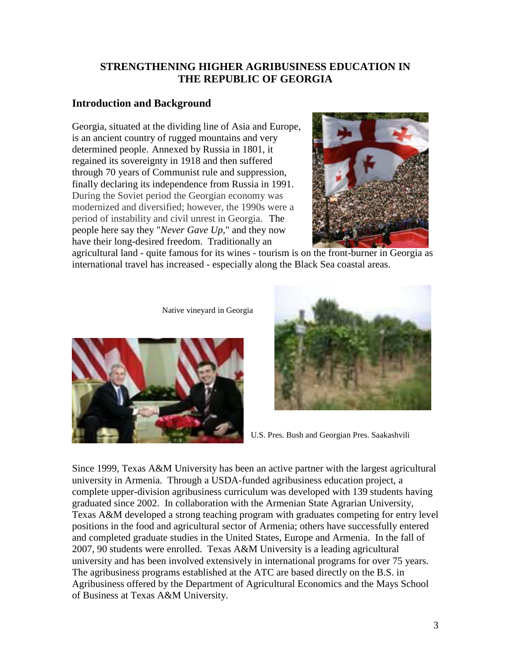### **STRENGTHENING HIGHER AGRIBUSINESS EDUCATION IN THE REPUBLIC OF GEORGIA**

## **Introduction and Background**

Georgia, situated at the dividing line of Asia and Europe, is an ancient country of rugged mountains and very determined people. Annexed by Russia in 1801, it regained its sovereignty in 1918 and then suffered through 70 years of Communist rule and suppression, finally declaring its independence from Russia in 1991. During the Soviet period the Georgian economy was modernized and diversified; however, the 1990s were a period of instability and civil unrest in Georgia. The people here say they "*Never Gave Up,*" and they now have their long-desired freedom. Traditionally an



agricultural land - quite famous for its wines - tourism is on the front-burner in Georgia as international travel has increased - especially along the Black Sea coastal areas.

Native vineyard in Georgia





U.S. Pres. Bush and Georgian Pres. Saakashvili

Since 1999, Texas A&M University has been an active partner with the largest agricultural university in Armenia. Through a USDA-funded agribusiness education project, a complete upper-division agribusiness curriculum was developed with 139 students having graduated since 2002. In collaboration with the Armenian State Agrarian University, Texas A&M developed a strong teaching program with graduates competing for entry level positions in the food and agricultural sector of Armenia; others have successfully entered and completed graduate studies in the United States, Europe and Armenia. In the fall of 2007, 90 students were enrolled. Texas A&M University is a leading agricultural university and has been involved extensively in international programs for over 75 years. The agribusiness programs established at the ATC are based directly on the B.S. in Agribusiness offered by the Department of Agricultural Economics and the Mays School of Business at Texas A&M University.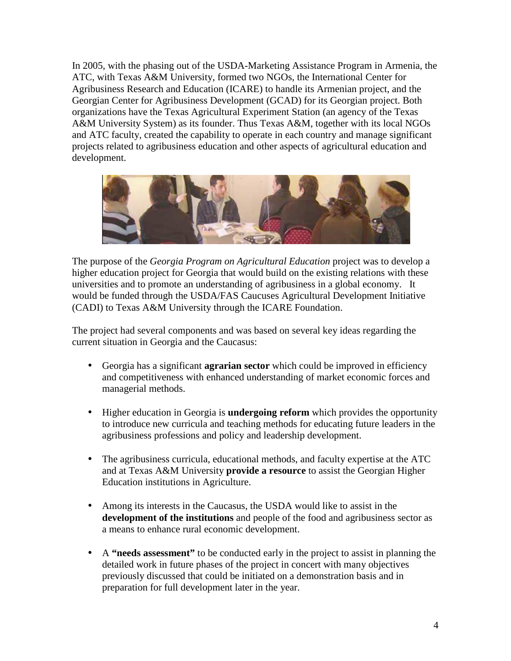In 2005, with the phasing out of the USDA-Marketing Assistance Program in Armenia, the ATC, with Texas A&M University, formed two NGOs, the International Center for Agribusiness Research and Education (ICARE) to handle its Armenian project, and the Georgian Center for Agribusiness Development (GCAD) for its Georgian project. Both organizations have the Texas Agricultural Experiment Station (an agency of the Texas A&M University System) as its founder. Thus Texas A&M, together with its local NGOs and ATC faculty, created the capability to operate in each country and manage significant projects related to agribusiness education and other aspects of agricultural education and development.



The purpose of the *Georgia Program on Agricultural Education* project was to develop a higher education project for Georgia that would build on the existing relations with these universities and to promote an understanding of agribusiness in a global economy. It would be funded through the USDA/FAS Caucuses Agricultural Development Initiative (CADI) to Texas A&M University through the ICARE Foundation.

The project had several components and was based on several key ideas regarding the current situation in Georgia and the Caucasus:

- Georgia has a significant **agrarian sector** which could be improved in efficiency and competitiveness with enhanced understanding of market economic forces and managerial methods.
- Higher education in Georgia is **undergoing reform** which provides the opportunity to introduce new curricula and teaching methods for educating future leaders in the agribusiness professions and policy and leadership development.
- The agribusiness curricula, educational methods, and faculty expertise at the ATC and at Texas A&M University **provide a resource** to assist the Georgian Higher Education institutions in Agriculture.
- Among its interests in the Caucasus, the USDA would like to assist in the **development of the institutions** and people of the food and agribusiness sector as a means to enhance rural economic development.
- A **"needs assessment"** to be conducted early in the project to assist in planning the detailed work in future phases of the project in concert with many objectives previously discussed that could be initiated on a demonstration basis and in preparation for full development later in the year.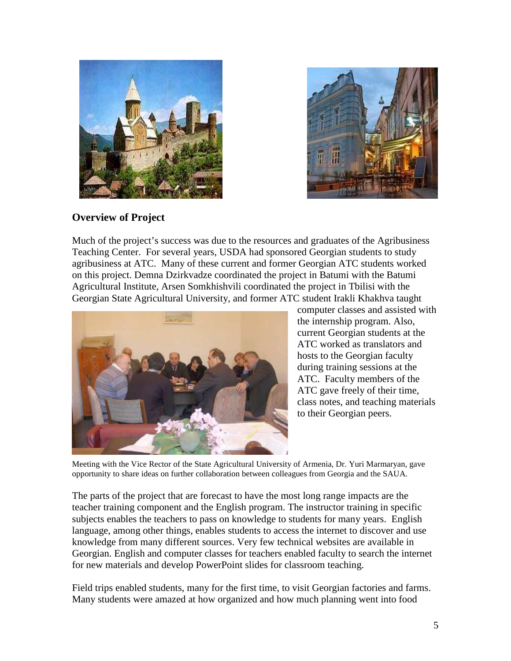



# **Overview of Project**

Much of the project's success was due to the resources and graduates of the Agribusiness Teaching Center. For several years, USDA had sponsored Georgian students to study agribusiness at ATC. Many of these current and former Georgian ATC students worked on this project. Demna Dzirkvadze coordinated the project in Batumi with the Batumi Agricultural Institute, Arsen Somkhishvili coordinated the project in Tbilisi with the Georgian State Agricultural University, and former ATC student Irakli Khakhva taught



computer classes and assisted with the internship program. Also, current Georgian students at the ATC worked as translators and hosts to the Georgian faculty during training sessions at the ATC. Faculty members of the ATC gave freely of their time, class notes, and teaching materials to their Georgian peers.

Meeting with the Vice Rector of the State Agricultural University of Armenia, Dr. Yuri Marmaryan, gave opportunity to share ideas on further collaboration between colleagues from Georgia and the SAUA.

The parts of the project that are forecast to have the most long range impacts are the teacher training component and the English program. The instructor training in specific subjects enables the teachers to pass on knowledge to students for many years. English language, among other things, enables students to access the internet to discover and use knowledge from many different sources. Very few technical websites are available in Georgian. English and computer classes for teachers enabled faculty to search the internet for new materials and develop PowerPoint slides for classroom teaching.

Field trips enabled students, many for the first time, to visit Georgian factories and farms. Many students were amazed at how organized and how much planning went into food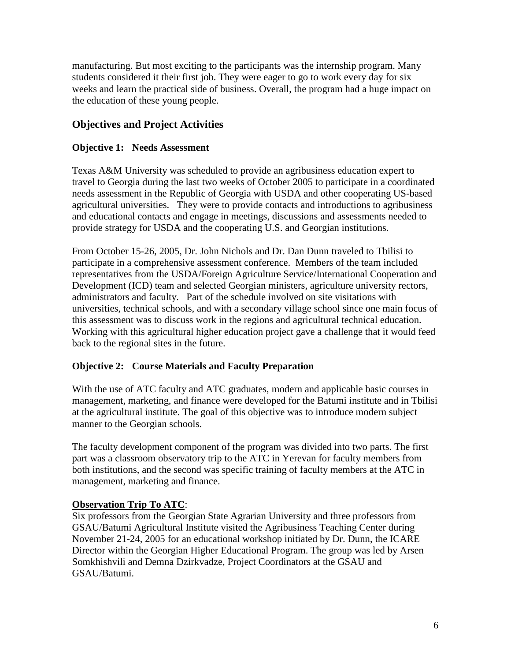manufacturing. But most exciting to the participants was the internship program. Many students considered it their first job. They were eager to go to work every day for six weeks and learn the practical side of business. Overall, the program had a huge impact on the education of these young people.

## **Objectives and Project Activities**

### **Objective 1: Needs Assessment**

Texas A&M University was scheduled to provide an agribusiness education expert to travel to Georgia during the last two weeks of October 2005 to participate in a coordinated needs assessment in the Republic of Georgia with USDA and other cooperating US-based agricultural universities. They were to provide contacts and introductions to agribusiness and educational contacts and engage in meetings, discussions and assessments needed to provide strategy for USDA and the cooperating U.S. and Georgian institutions.

From October 15-26, 2005, Dr. John Nichols and Dr. Dan Dunn traveled to Tbilisi to participate in a comprehensive assessment conference. Members of the team included representatives from the USDA/Foreign Agriculture Service/International Cooperation and Development (ICD) team and selected Georgian ministers, agriculture university rectors, administrators and faculty. Part of the schedule involved on site visitations with universities, technical schools, and with a secondary village school since one main focus of this assessment was to discuss work in the regions and agricultural technical education. Working with this agricultural higher education project gave a challenge that it would feed back to the regional sites in the future.

### **Objective 2: Course Materials and Faculty Preparation**

With the use of ATC faculty and ATC graduates, modern and applicable basic courses in management, marketing, and finance were developed for the Batumi institute and in Tbilisi at the agricultural institute. The goal of this objective was to introduce modern subject manner to the Georgian schools.

The faculty development component of the program was divided into two parts. The first part was a classroom observatory trip to the ATC in Yerevan for faculty members from both institutions, and the second was specific training of faculty members at the ATC in management, marketing and finance.

### **Observation Trip To ATC**:

Six professors from the Georgian State Agrarian University and three professors from GSAU/Batumi Agricultural Institute visited the Agribusiness Teaching Center during November 21-24, 2005 for an educational workshop initiated by Dr. Dunn, the ICARE Director within the Georgian Higher Educational Program. The group was led by Arsen Somkhishvili and Demna Dzirkvadze, Project Coordinators at the GSAU and GSAU/Batumi.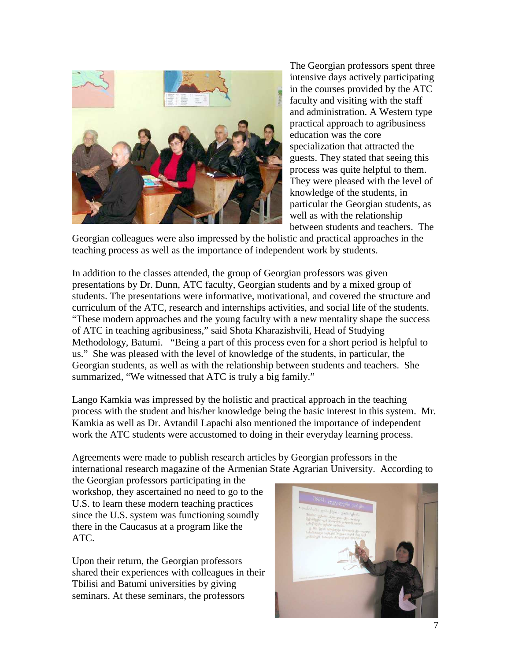

The Georgian professors spent three intensive days actively participating in the courses provided by the ATC faculty and visiting with the staff and administration. A Western type practical approach to agribusiness education was the core specialization that attracted the guests. They stated that seeing this process was quite helpful to them. They were pleased with the level of knowledge of the students, in particular the Georgian students, as well as with the relationship between students and teachers. The

Georgian colleagues were also impressed by the holistic and practical approaches in the teaching process as well as the importance of independent work by students.

In addition to the classes attended, the group of Georgian professors was given presentations by Dr. Dunn, ATC faculty, Georgian students and by a mixed group of students. The presentations were informative, motivational, and covered the structure and curriculum of the ATC, research and internships activities, and social life of the students. "These modern approaches and the young faculty with a new mentality shape the success of ATC in teaching agribusiness," said Shota Kharazishvili, Head of Studying Methodology, Batumi. "Being a part of this process even for a short period is helpful to us." She was pleased with the level of knowledge of the students, in particular, the Georgian students, as well as with the relationship between students and teachers. She summarized, "We witnessed that ATC is truly a big family."

Lango Kamkia was impressed by the holistic and practical approach in the teaching process with the student and his/her knowledge being the basic interest in this system. Mr. Kamkia as well as Dr. Avtandil Lapachi also mentioned the importance of independent work the ATC students were accustomed to doing in their everyday learning process.

Agreements were made to publish research articles by Georgian professors in the international research magazine of the Armenian State Agrarian University. According to

the Georgian professors participating in the workshop, they ascertained no need to go to the U.S. to learn these modern teaching practices since the U.S. system was functioning soundly there in the Caucasus at a program like the ATC.

Upon their return, the Georgian professors shared their experiences with colleagues in their Tbilisi and Batumi universities by giving seminars. At these seminars, the professors

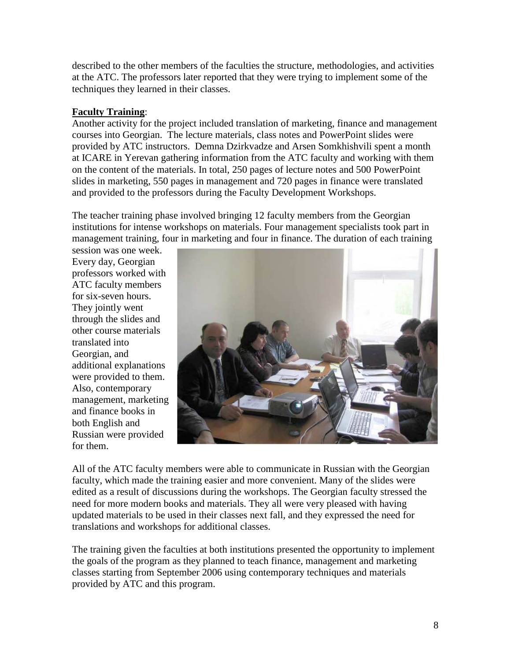described to the other members of the faculties the structure, methodologies, and activities at the ATC. The professors later reported that they were trying to implement some of the techniques they learned in their classes.

### **Faculty Training**:

Another activity for the project included translation of marketing, finance and management courses into Georgian. The lecture materials, class notes and PowerPoint slides were provided by ATC instructors. Demna Dzirkvadze and Arsen Somkhishvili spent a month at ICARE in Yerevan gathering information from the ATC faculty and working with them on the content of the materials. In total, 250 pages of lecture notes and 500 PowerPoint slides in marketing, 550 pages in management and 720 pages in finance were translated and provided to the professors during the Faculty Development Workshops.

The teacher training phase involved bringing 12 faculty members from the Georgian institutions for intense workshops on materials. Four management specialists took part in management training, four in marketing and four in finance. The duration of each training

session was one week. Every day, Georgian professors worked with ATC faculty members for six-seven hours. They jointly went through the slides and other course materials translated into Georgian, and additional explanations were provided to them. Also, contemporary management, marketing and finance books in both English and Russian were provided for them.



All of the ATC faculty members were able to communicate in Russian with the Georgian faculty, which made the training easier and more convenient. Many of the slides were edited as a result of discussions during the workshops. The Georgian faculty stressed the need for more modern books and materials. They all were very pleased with having updated materials to be used in their classes next fall, and they expressed the need for translations and workshops for additional classes.

The training given the faculties at both institutions presented the opportunity to implement the goals of the program as they planned to teach finance, management and marketing classes starting from September 2006 using contemporary techniques and materials provided by ATC and this program.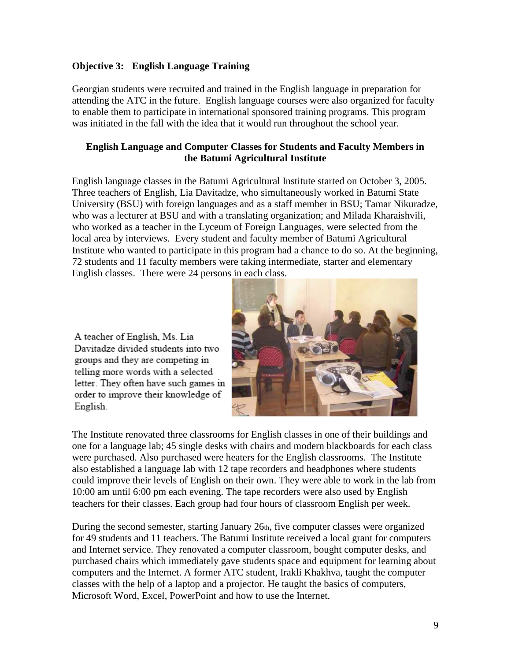#### **Objective 3: English Language Training**

Georgian students were recruited and trained in the English language in preparation for attending the ATC in the future. English language courses were also organized for faculty to enable them to participate in international sponsored training programs. This program was initiated in the fall with the idea that it would run throughout the school year.

#### **English Language and Computer Classes for Students and Faculty Members in the Batumi Agricultural Institute**

English language classes in the Batumi Agricultural Institute started on October 3, 2005. Three teachers of English, Lia Davitadze, who simultaneously worked in Batumi State University (BSU) with foreign languages and as a staff member in BSU; Tamar Nikuradze, who was a lecturer at BSU and with a translating organization; and Milada Kharaishvili, who worked as a teacher in the Lyceum of Foreign Languages, were selected from the local area by interviews. Every student and faculty member of Batumi Agricultural Institute who wanted to participate in this program had a chance to do so. At the beginning, 72 students and 11 faculty members were taking intermediate, starter and elementary English classes. There were 24 persons in each class.

A teacher of English, Ms. Lia Davitadze divided students into two groups and they are competing in telling more words with a selected letter. They often have such games in order to improve their knowledge of English.



The Institute renovated three classrooms for English classes in one of their buildings and one for a language lab; 45 single desks with chairs and modern blackboards for each class were purchased. Also purchased were heaters for the English classrooms. The Institute also established a language lab with 12 tape recorders and headphones where students could improve their levels of English on their own. They were able to work in the lab from 10:00 am until 6:00 pm each evening. The tape recorders were also used by English teachers for their classes. Each group had four hours of classroom English per week.

During the second semester, starting January 26th, five computer classes were organized for 49 students and 11 teachers. The Batumi Institute received a local grant for computers and Internet service. They renovated a computer classroom, bought computer desks, and purchased chairs which immediately gave students space and equipment for learning about computers and the Internet. A former ATC student, Irakli Khakhva, taught the computer classes with the help of a laptop and a projector. He taught the basics of computers, Microsoft Word, Excel, PowerPoint and how to use the Internet.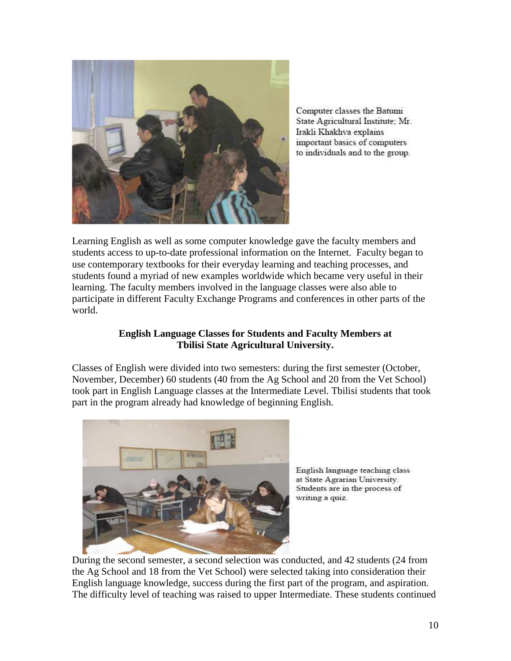

Computer classes the Batumi State Agricultural Institute: Mr. Irakli Khakhva explains important basics of computers to individuals and to the group.

Learning English as well as some computer knowledge gave the faculty members and students access to up-to-date professional information on the Internet. Faculty began to use contemporary textbooks for their everyday learning and teaching processes, and students found a myriad of new examples worldwide which became very useful in their learning. The faculty members involved in the language classes were also able to participate in different Faculty Exchange Programs and conferences in other parts of the world.

### **English Language Classes for Students and Faculty Members at Tbilisi State Agricultural University.**

Classes of English were divided into two semesters: during the first semester (October, November, December) 60 students (40 from the Ag School and 20 from the Vet School) took part in English Language classes at the Intermediate Level. Tbilisi students that took part in the program already had knowledge of beginning English.



English language teaching class at State Agrarian University. Students are in the process of writing a quiz.

During the second semester, a second selection was conducted, and 42 students (24 from the Ag School and 18 from the Vet School) were selected taking into consideration their English language knowledge, success during the first part of the program, and aspiration. The difficulty level of teaching was raised to upper Intermediate. These students continued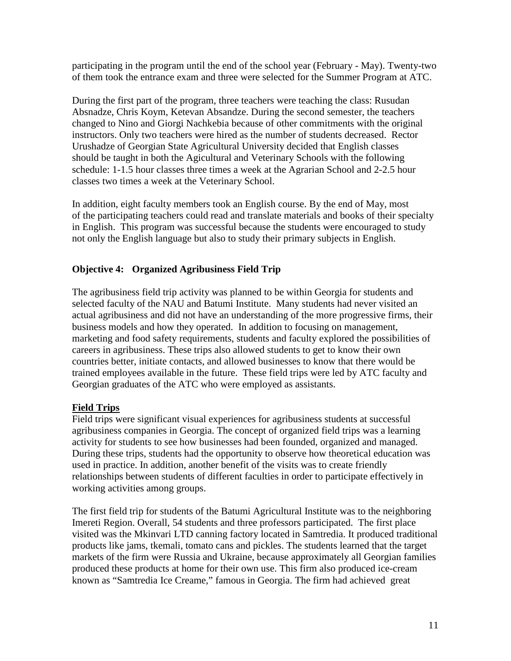participating in the program until the end of the school year (February - May). Twenty-two of them took the entrance exam and three were selected for the Summer Program at ATC.

During the first part of the program, three teachers were teaching the class: Rusudan Absnadze, Chris Koym, Ketevan Absandze. During the second semester, the teachers changed to Nino and Giorgi Nachkebia because of other commitments with the original instructors. Only two teachers were hired as the number of students decreased. Rector Urushadze of Georgian State Agricultural University decided that English classes should be taught in both the Agicultural and Veterinary Schools with the following schedule: 1-1.5 hour classes three times a week at the Agrarian School and 2-2.5 hour classes two times a week at the Veterinary School.

In addition, eight faculty members took an English course. By the end of May, most of the participating teachers could read and translate materials and books of their specialty in English. This program was successful because the students were encouraged to study not only the English language but also to study their primary subjects in English.

### **Objective 4: Organized Agribusiness Field Trip**

The agribusiness field trip activity was planned to be within Georgia for students and selected faculty of the NAU and Batumi Institute. Many students had never visited an actual agribusiness and did not have an understanding of the more progressive firms, their business models and how they operated. In addition to focusing on management, marketing and food safety requirements, students and faculty explored the possibilities of careers in agribusiness. These trips also allowed students to get to know their own countries better, initiate contacts, and allowed businesses to know that there would be trained employees available in the future. These field trips were led by ATC faculty and Georgian graduates of the ATC who were employed as assistants.

#### **Field Trips**

Field trips were significant visual experiences for agribusiness students at successful agribusiness companies in Georgia. The concept of organized field trips was a learning activity for students to see how businesses had been founded, organized and managed. During these trips, students had the opportunity to observe how theoretical education was used in practice. In addition, another benefit of the visits was to create friendly relationships between students of different faculties in order to participate effectively in working activities among groups.

The first field trip for students of the Batumi Agricultural Institute was to the neighboring Imereti Region. Overall, 54 students and three professors participated. The first place visited was the Mkinvari LTD canning factory located in Samtredia. It produced traditional products like jams, tkemali, tomato cans and pickles. The students learned that the target markets of the firm were Russia and Ukraine, because approximately all Georgian families produced these products at home for their own use. This firm also produced ice-cream known as "Samtredia Ice Creame," famous in Georgia. The firm had achieved great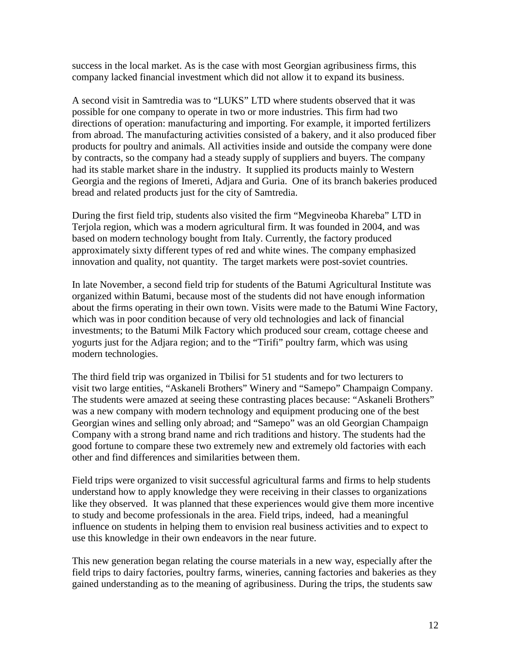success in the local market. As is the case with most Georgian agribusiness firms, this company lacked financial investment which did not allow it to expand its business.

A second visit in Samtredia was to "LUKS" LTD where students observed that it was possible for one company to operate in two or more industries. This firm had two directions of operation: manufacturing and importing. For example, it imported fertilizers from abroad. The manufacturing activities consisted of a bakery, and it also produced fiber products for poultry and animals. All activities inside and outside the company were done by contracts, so the company had a steady supply of suppliers and buyers. The company had its stable market share in the industry. It supplied its products mainly to Western Georgia and the regions of Imereti, Adjara and Guria. One of its branch bakeries produced bread and related products just for the city of Samtredia.

During the first field trip, students also visited the firm "Megvineoba Khareba" LTD in Terjola region, which was a modern agricultural firm. It was founded in 2004, and was based on modern technology bought from Italy. Currently, the factory produced approximately sixty different types of red and white wines. The company emphasized innovation and quality, not quantity. The target markets were post-soviet countries.

In late November, a second field trip for students of the Batumi Agricultural Institute was organized within Batumi, because most of the students did not have enough information about the firms operating in their own town. Visits were made to the Batumi Wine Factory, which was in poor condition because of very old technologies and lack of financial investments; to the Batumi Milk Factory which produced sour cream, cottage cheese and yogurts just for the Adjara region; and to the "Tirifi" poultry farm, which was using modern technologies.

The third field trip was organized in Tbilisi for 51 students and for two lecturers to visit two large entities, "Askaneli Brothers" Winery and "Samepo" Champaign Company. The students were amazed at seeing these contrasting places because: "Askaneli Brothers" was a new company with modern technology and equipment producing one of the best Georgian wines and selling only abroad; and "Samepo" was an old Georgian Champaign Company with a strong brand name and rich traditions and history. The students had the good fortune to compare these two extremely new and extremely old factories with each other and find differences and similarities between them.

Field trips were organized to visit successful agricultural farms and firms to help students understand how to apply knowledge they were receiving in their classes to organizations like they observed. It was planned that these experiences would give them more incentive to study and become professionals in the area. Field trips, indeed, had a meaningful influence on students in helping them to envision real business activities and to expect to use this knowledge in their own endeavors in the near future.

This new generation began relating the course materials in a new way, especially after the field trips to dairy factories, poultry farms, wineries, canning factories and bakeries as they gained understanding as to the meaning of agribusiness. During the trips, the students saw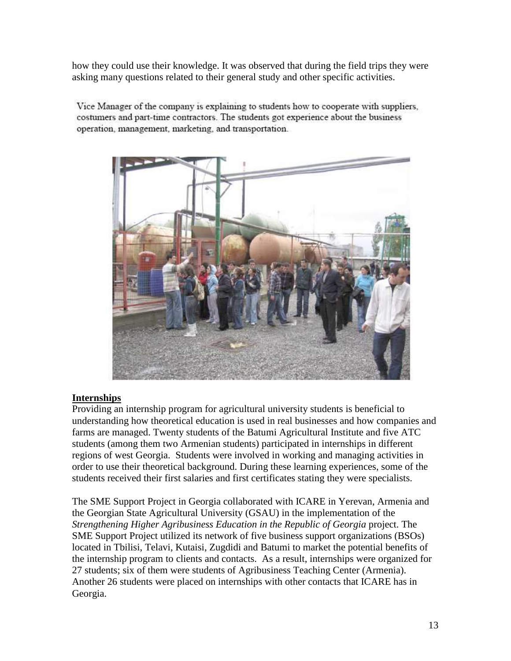how they could use their knowledge. It was observed that during the field trips they were asking many questions related to their general study and other specific activities.

Vice Manager of the company is explaining to students how to cooperate with suppliers. costumers and part-time contractors. The students got experience about the business operation, management, marketing, and transportation.



### **Internships**

Providing an internship program for agricultural university students is beneficial to understanding how theoretical education is used in real businesses and how companies and farms are managed. Twenty students of the Batumi Agricultural Institute and five ATC students (among them two Armenian students) participated in internships in different regions of west Georgia. Students were involved in working and managing activities in order to use their theoretical background. During these learning experiences, some of the students received their first salaries and first certificates stating they were specialists.

The SME Support Project in Georgia collaborated with ICARE in Yerevan, Armenia and the Georgian State Agricultural University (GSAU) in the implementation of the *Strengthening Higher Agribusiness Education in the Republic of Georgia* project. The SME Support Project utilized its network of five business support organizations (BSOs) located in Tbilisi, Telavi, Kutaisi, Zugdidi and Batumi to market the potential benefits of the internship program to clients and contacts. As a result, internships were organized for 27 students; six of them were students of Agribusiness Teaching Center (Armenia). Another 26 students were placed on internships with other contacts that ICARE has in Georgia.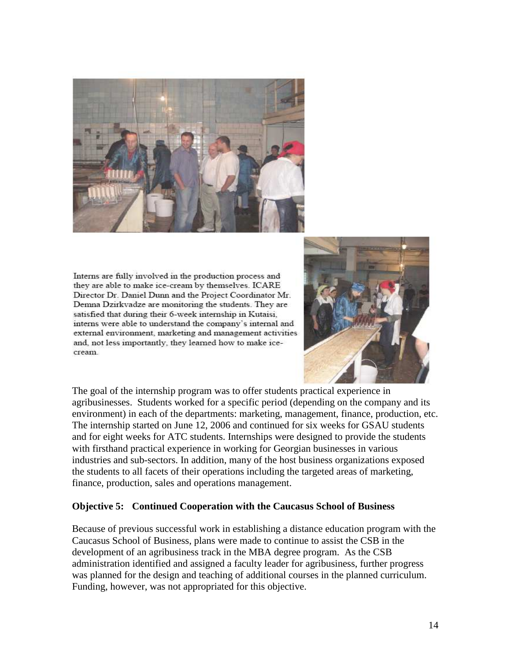

Interns are fully involved in the production process and they are able to make ice-cream by themselves. ICARE Director Dr. Daniel Dunn and the Project Coordinator Mr. Demna Dzirkvadze are monitoring the students. They are satisfied that during their 6-week internship in Kutaisi. interns were able to understand the company's internal and external environment, marketing and management activities and, not less importantly, they learned how to make icecream.



The goal of the internship program was to offer students practical experience in agribusinesses. Students worked for a specific period (depending on the company and its environment) in each of the departments: marketing, management, finance, production, etc. The internship started on June 12, 2006 and continued for six weeks for GSAU students and for eight weeks for ATC students. Internships were designed to provide the students with firsthand practical experience in working for Georgian businesses in various industries and sub-sectors. In addition, many of the host business organizations exposed the students to all facets of their operations including the targeted areas of marketing, finance, production, sales and operations management.

#### **Objective 5: Continued Cooperation with the Caucasus School of Business**

Because of previous successful work in establishing a distance education program with the Caucasus School of Business, plans were made to continue to assist the CSB in the development of an agribusiness track in the MBA degree program. As the CSB administration identified and assigned a faculty leader for agribusiness, further progress was planned for the design and teaching of additional courses in the planned curriculum. Funding, however, was not appropriated for this objective.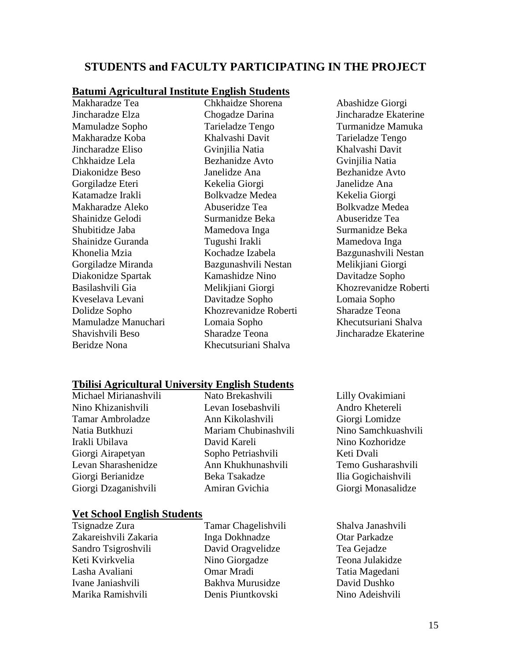# **STUDENTS and FACULTY PARTICIPATING IN THE PROJECT**

#### **Batumi Agricultural Institute English Students**

Makharadze Tea Jincharadze Elza Mamuladze Sopho Makharadze Koba Jincharadze Eliso Chkhaidze Lela Diakonidze Beso Gorgiladze Eteri Katamadze Irakli Makharadze Aleko Shainidze Gelodi Shubitidze Jaba Shainidze Guranda Khonelia Mzia Gorgiladze Miranda Diakonidze Spartak Basilashvili Gia Kveselava Levani Dolidze Sopho Mamuladze Manuchari Shavishvili Beso Beridze Nona

Chkhaidze Shorena Chogadze Darina Tarieladze Tengo Khalvashi Davit Gvinjilia Natia Bezhanidze Avto Janelidze Ana Kekelia Giorgi Bolkvadze Medea Abuseridze Tea Surmanidze Beka Mamedova Inga Tugushi Irakli Kochadze Izabela Bazgunashvili Nestan Kamashidze Nino Melikjiani Giorgi Davitadze Sopho Khozrevanidze Roberti Lomaia Sopho Sharadze Teona Khecutsuriani Shalva

Abashidze Giorgi Jincharadze Ekaterine Turmanidze Mamuka Tarieladze Tengo Khalvashi Davit Gvinjilia Natia Bezhanidze Avto Janelidze Ana Kekelia Giorgi Bolkvadze Medea Abuseridze Tea Surmanidze Beka Mamedova Inga Bazgunashvili Nestan Melikjiani Giorgi Davitadze Sopho Khozrevanidze Roberti Lomaia Sopho Sharadze Teona Khecutsuriani Shalva Jincharadze Ekaterine

#### **Tbilisi Agricultural University English Students**

Michael Mirianashvili Nino Khizanishvili Tamar Ambroladze Natia Butkhuzi Irakli Ubilava Giorgi Airapetyan Levan Sharashenidze Giorgi Berianidze Giorgi Dzaganishvili

Nato Brekashvili Levan Iosebashvili Ann Kikolashvili Mariam Chubinashvili David Kareli Sopho Petriashvili Ann Khukhunashvili Beka Tsakadze Amiran Gvichia

### **Vet School English Students**

Tsignadze Zura Zakareishvili Zakaria Sandro Tsigroshvili Keti Kvirkvelia Lasha Avaliani Ivane Janiashvili Marika Ramishvili

Tamar Chagelishvili Inga Dokhnadze David Oragvelidze Nino Giorgadze Omar Mradi Bakhva Murusidze Denis Piuntkovski

Lilly Ovakimiani Andro Khetereli Giorgi Lomidze Nino Samchkuashvili Nino Kozhoridze Keti Dvali Temo Gusharashvili Ilia Gogichaishvili Giorgi Monasalidze

Shalva Janashvili Otar Parkadze Tea Gejadze Teona Julakidze Tatia Magedani David Dushko Nino Adeishvili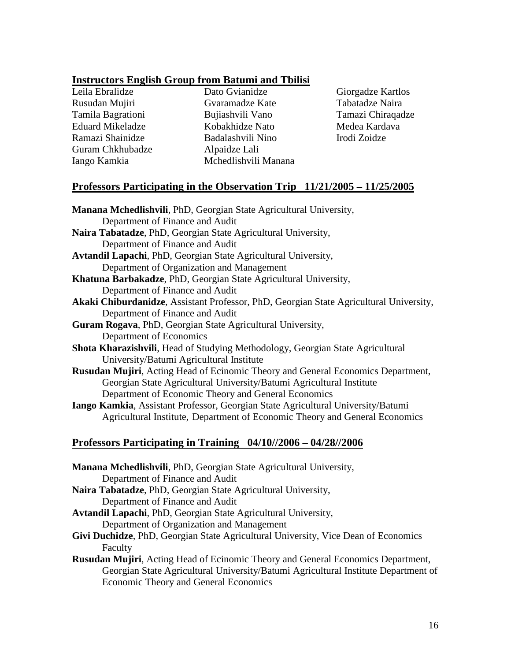# **Instructors English Group from Batumi and Tbilisi**

Leila Ebralidze Rusudan Mujiri Tamila Bagrationi Eduard Mikeladze Ramazi Shainidze Guram Chkhubadze Iango Kamkia

Dato Gvianidze Gvaramadze Kate Bujiashvili Vano Kobakhidze Nato Badalashvili Nino Alpaidze Lali Mchedlishvili Manana Giorgadze Kartlos Tabatadze Naira Tamazi Chiraqadze Medea Kardava Irodi Zoidze

### **Professors Participating in the Observation Trip 11/21/2005 – 11/25/2005**

| Manana Mchedlishvili, PhD, Georgian State Agricultural University,                     |
|----------------------------------------------------------------------------------------|
| Department of Finance and Audit                                                        |
| Naira Tabatadze, PhD, Georgian State Agricultural University,                          |
| Department of Finance and Audit                                                        |
| Avtandil Lapachi, PhD, Georgian State Agricultural University,                         |
| Department of Organization and Management                                              |
| Khatuna Barbakadze, PhD, Georgian State Agricultural University,                       |
| Department of Finance and Audit                                                        |
| Akaki Chiburdanidze, Assistant Professor, PhD, Georgian State Agricultural University, |
| Department of Finance and Audit                                                        |
| Guram Rogava, PhD, Georgian State Agricultural University,                             |
| Department of Economics                                                                |
| Shota Kharazishvili, Head of Studying Methodology, Georgian State Agricultural         |
| University/Batumi Agricultural Institute                                               |
| Rusudan Mujiri, Acting Head of Ecinomic Theory and General Economics Department,       |
| Georgian State Agricultural University/Batumi Agricultural Institute                   |
| Department of Economic Theory and General Economics                                    |
| Iango Kamkia, Assistant Professor, Georgian State Agricultural University/Batumi       |
| Agricultural Institute, Department of Economic Theory and General Economics            |
| <u>Professors Participating in Training 04/10//2006 - 04/28//2006</u>                  |
| Manana Mchedlishvili, PhD, Georgian State Agricultural University,                     |
| Department of Finance and Audit                                                        |
| Naira Tabatadze, PhD, Georgian State Agricultural University,                          |
| Department of Finance and Audit                                                        |
| Artondil Longobi, DhD, Coordian State Aguiaultural University                          |

- **Avtandil Lapachi**, PhD, Georgian State Agricultural University, Department of Organization and Management
- **Givi Duchidze**, PhD, Georgian State Agricultural University, Vice Dean of Economics Faculty
- **Rusudan Mujiri**, Acting Head of Ecinomic Theory and General Economics Department, Georgian State Agricultural University/Batumi Agricultural Institute Department of Economic Theory and General Economics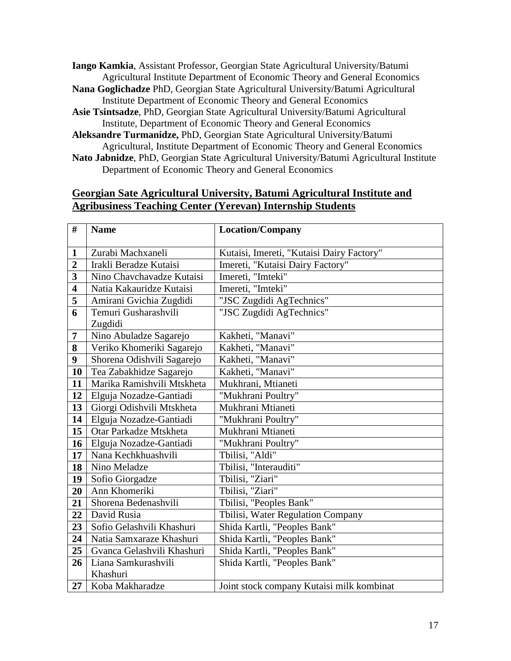**Iango Kamkia**, Assistant Professor, Georgian State Agricultural University/Batumi Agricultural Institute Department of Economic Theory and General Economics

- **Nana Goglichadze** PhD, Georgian State Agricultural University/Batumi Agricultural Institute Department of Economic Theory and General Economics
- **Asie Tsintsadze**, PhD, Georgian State Agricultural University/Batumi Agricultural Institute, Department of Economic Theory and General Economics
- **Aleksandre Turmanidze,** PhD, Georgian State Agricultural University/Batumi Agricultural, Institute Department of Economic Theory and General Economics
- **Nato Jabnidze**, PhD, Georgian State Agricultural University/Batumi Agricultural Institute Department of Economic Theory and General Economics

### **Georgian Sate Agricultural University, Batumi Agricultural Institute and Agribusiness Teaching Center (Yerevan) Internship Students**

| $\#$                    | <b>Name</b>                | <b>Location/Company</b>                   |
|-------------------------|----------------------------|-------------------------------------------|
|                         |                            |                                           |
| $\mathbf{1}$            | Zurabi Machxaneli          | Kutaisi, Imereti, "Kutaisi Dairy Factory" |
| $\overline{2}$          | Irakli Beradze Kutaisi     | Imereti, "Kutaisi Dairy Factory"          |
| 3                       | Nino Chavchavadze Kutaisi  | Imereti, "Imteki"                         |
| $\overline{\mathbf{4}}$ | Natia Kakauridze Kutaisi   | Imereti, "Imteki"                         |
| 5                       | Amirani Gvichia Zugdidi    | "JSC Zugdidi AgTechnics"                  |
| 6                       | Temuri Gusharashvili       | "JSC Zugdidi AgTechnics"                  |
|                         | Zugdidi                    |                                           |
| 7                       | Nino Abuladze Sagarejo     | Kakheti, "Manavi"                         |
| 8                       | Veriko Khomeriki Sagarejo  | Kakheti, "Manavi"                         |
| 9                       | Shorena Odishvili Sagarejo | Kakheti, "Manavi"                         |
| 10                      | Tea Zabakhidze Sagarejo    | Kakheti, "Manavi"                         |
| 11                      | Marika Ramishvili Mtskheta | Mukhrani, Mtianeti                        |
| 12                      | Elguja Nozadze-Gantiadi    | "Mukhrani Poultry"                        |
| 13                      | Giorgi Odishvili Mtskheta  | Mukhrani Mtianeti                         |
| 14                      | Elguja Nozadze-Gantiadi    | "Mukhrani Poultry"                        |
| 15                      | Otar Parkadze Mtskheta     | Mukhrani Mtianeti                         |
| 16                      | Elguja Nozadze-Gantiadi    | "Mukhrani Poultry"                        |
| 17                      | Nana Kechkhuashvili        | Tbilisi, "Aldi"                           |
| 18                      | Nino Meladze               | Tbilisi, "Interauditi"                    |
| 19                      | Sofio Giorgadze            | Tbilisi, "Ziari"                          |
| 20                      | Ann Khomeriki              | Tbilisi, "Ziari"                          |
| 21                      | Shorena Bedenashvili       | Tbilisi, "Peoples Bank"                   |
| 22                      | David Rusia                | Tbilisi, Water Regulation Company         |
| 23                      | Sofio Gelashvili Khashuri  | Shida Kartli, "Peoples Bank"              |
| 24                      | Natia Samxaraze Khashuri   | Shida Kartli, "Peoples Bank"              |
| 25                      | Gvanca Gelashvili Khashuri | Shida Kartli, "Peoples Bank"              |
| 26                      | Liana Samkurashvili        | Shida Kartli, "Peoples Bank"              |
|                         | Khashuri                   |                                           |
| 27                      | Koba Makharadze            | Joint stock company Kutaisi milk kombinat |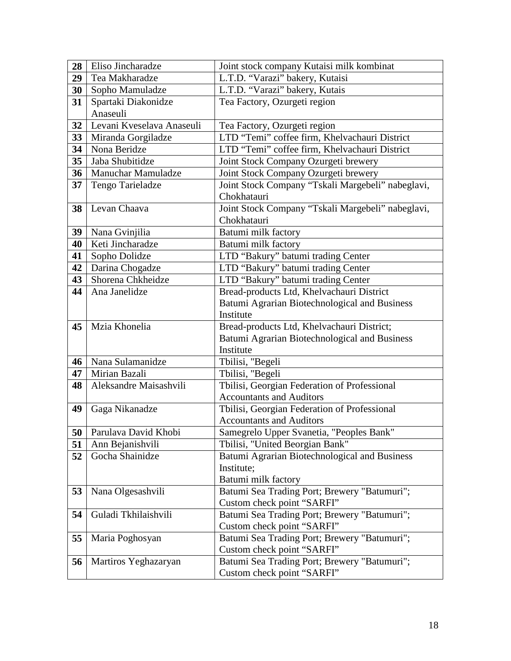| 28 | Eliso Jincharadze                   | Joint stock company Kutaisi milk kombinat                   |
|----|-------------------------------------|-------------------------------------------------------------|
| 29 | Tea Makharadze                      | L.T.D. "Varazi" bakery, Kutaisi                             |
| 30 | Sopho Mamuladze                     | L.T.D. "Varazi" bakery, Kutais                              |
| 31 | Spartaki Diakonidze                 | Tea Factory, Ozurgeti region                                |
|    | Anaseuli                            |                                                             |
| 32 | Levani Kveselava Anaseuli           | Tea Factory, Ozurgeti region                                |
| 33 | Miranda Gorgiladze                  | LTD "Temi" coffee firm, Khelvachauri District               |
| 34 | Nona Beridze                        | LTD "Temi" coffee firm, Khelvachauri District               |
| 35 | Jaba Shubitidze                     | Joint Stock Company Ozurgeti brewery                        |
| 36 | <b>Manuchar Mamuladze</b>           | Joint Stock Company Ozurgeti brewery                        |
| 37 | Tengo Tarieladze                    | Joint Stock Company "Tskali Margebeli" nabeglavi,           |
|    |                                     | Chokhatauri                                                 |
| 38 | Levan Chaava                        | Joint Stock Company "Tskali Margebeli" nabeglavi,           |
|    |                                     | Chokhatauri                                                 |
| 39 | Nana Gvinjilia                      | Batumi milk factory                                         |
| 40 | Keti Jincharadze                    | Batumi milk factory                                         |
| 41 | Sopho Dolidze                       | LTD "Bakury" batumi trading Center                          |
| 42 | Darina Chogadze                     | LTD "Bakury" batumi trading Center                          |
| 43 | Shorena Chkheidze                   | LTD "Bakury" batumi trading Center                          |
| 44 | Ana Janelidze                       | Bread-products Ltd, Khelvachauri District                   |
|    |                                     | Batumi Agrarian Biotechnological and Business               |
|    |                                     | Institute                                                   |
| 45 | Mzia Khonelia                       | Bread-products Ltd, Khelvachauri District;                  |
|    |                                     | Batumi Agrarian Biotechnological and Business               |
|    |                                     | Institute                                                   |
| 46 | Nana Sulamanidze                    | Tbilisi, "Begeli                                            |
| 47 | Mirian Bazali                       | Tbilisi, "Begeli                                            |
| 48 | Aleksandre Maisashvili              | Tbilisi, Georgian Federation of Professional                |
|    |                                     | <b>Accountants and Auditors</b>                             |
| 49 | Gaga Nikanadze                      | Tbilisi, Georgian Federation of Professional                |
|    |                                     | <b>Accountants and Auditors</b>                             |
|    | 50   Parulava David Khobi           | Samegrelo Upper Svanetia, "Peoples Bank"                    |
| 51 | Ann Bejanishvili<br>Gocha Shainidze | Tbilisi, "United Beorgian Bank"                             |
| 52 |                                     | Batumi Agrarian Biotechnological and Business<br>Institute; |
|    |                                     | Batumi milk factory                                         |
| 53 | Nana Olgesashvili                   | Batumi Sea Trading Port; Brewery "Batumuri";                |
|    |                                     | Custom check point "SARFI"                                  |
| 54 | Guladi Tkhilaishvili                | Batumi Sea Trading Port; Brewery "Batumuri";                |
|    |                                     | Custom check point "SARFI"                                  |
| 55 | Maria Poghosyan                     | Batumi Sea Trading Port; Brewery "Batumuri";                |
|    |                                     | Custom check point "SARFI"                                  |
| 56 | Martiros Yeghazaryan                | Batumi Sea Trading Port; Brewery "Batumuri";                |
|    |                                     |                                                             |
|    |                                     | Custom check point "SARFI"                                  |